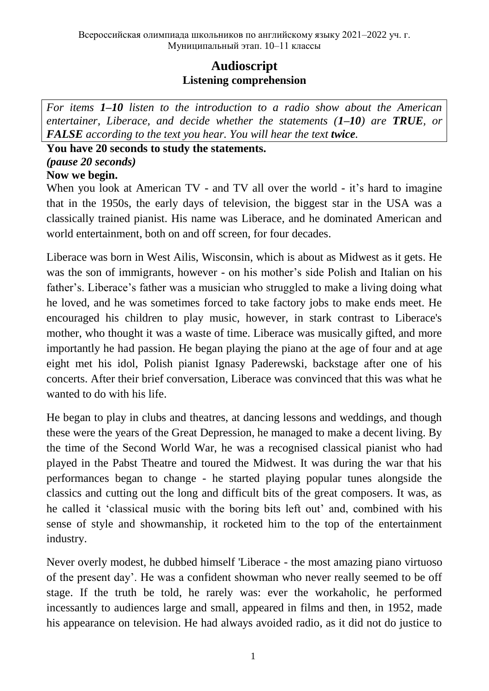# **Audioscript Listening comprehension**

*For items 1–10 listen to the introduction to a radio show about the American entertainer, Liberace, and decide whether the statements (1–10) are TRUE, or FALSE according to the text you hear. You will hear the text twice.* 

### **You have 20 seconds to study the statements.** *(pause 20 seconds)* **Now we begin.**

When you look at American TV - and TV all over the world - it's hard to imagine that in the 1950s, the early days of television, the biggest star in the USA was a classically trained pianist. His name was Liberace, and he dominated American and world entertainment, both on and off screen, for four decades.

Liberace was born in West Ailis, Wisconsin, which is about as Midwest as it gets. He was the son of immigrants, however - on his mother's side Polish and Italian on his father's. Liberace's father was a musician who struggled to make a living doing what he loved, and he was sometimes forced to take factory jobs to make ends meet. He encouraged his children to play music, however, in stark contrast to Liberace's mother, who thought it was a waste of time. Liberace was musically gifted, and more importantly he had passion. He began playing the piano at the age of four and at age eight met his idol, Polish pianist Ignasy Paderewski, backstage after one of his concerts. After their brief conversation, Liberace was convinced that this was what he wanted to do with his life.

He began to play in clubs and theatres, at dancing lessons and weddings, and though these were the years of the Great Depression, he managed to make a decent living. By the time of the Second World War, he was a recognised classical pianist who had played in the Pabst Theatre and toured the Midwest. It was during the war that his performances began to change - he started playing popular tunes alongside the classics and cutting out the long and difficult bits of the great composers. It was, as he called it 'classical music with the boring bits left out' and, combined with his sense of style and showmanship, it rocketed him to the top of the entertainment industry.

Never overly modest, he dubbed himself 'Liberace - the most amazing piano virtuoso of the present day'. He was a confident showman who never really seemed to be off stage. If the truth be told, he rarely was: ever the workaholic, he performed incessantly to audiences large and small, appeared in films and then, in 1952, made his appearance on television. He had always avoided radio, as it did not do justice to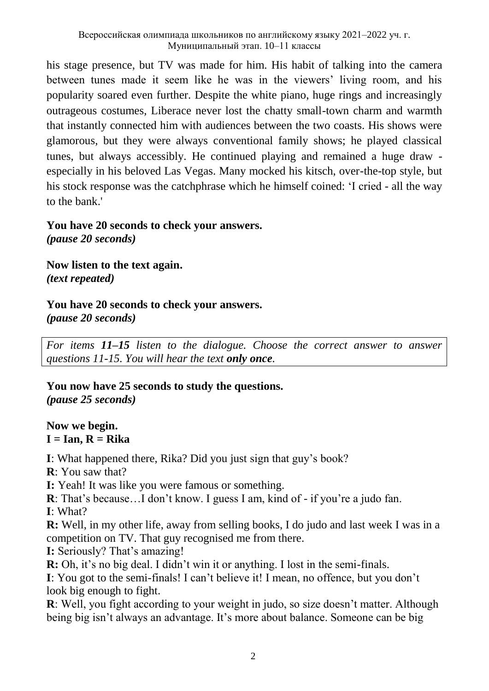his stage presence, but TV was made for him. His habit of talking into the camera between tunes made it seem like he was in the viewers' living room, and his popularity soared even further. Despite the white piano, huge rings and increasingly outrageous costumes, Liberace never lost the chatty small-town charm and warmth that instantly connected him with audiences between the two coasts. His shows were glamorous, but they were always conventional family shows; he played classical tunes, but always accessibly. He continued playing and remained a huge draw especially in his beloved Las Vegas. Many mocked his kitsch, over-the-top style, but his stock response was the catchphrase which he himself coined: 'I cried - all the way to the bank.'

## **You have 20 seconds to check your answers.**

*(pause 20 seconds)*

**Now listen to the text again.** *(text repeated)*

# **You have 20 seconds to check your answers.**

*(pause 20 seconds)*

*For items 11–15 listen to the dialogue. Choose the correct answer to answer questions 11-15. You will hear the text only once.*

## **You now have 25 seconds to study the questions.** *(pause 25 seconds)*

#### **Now we begin. I = Ian, R = Rika**

**I**: What happened there, Rika? Did you just sign that guy's book?

**R**: You saw that?

**I:** Yeah! It was like you were famous or something.

**R**: That's because…I don't know. I guess I am, kind of - if you're a judo fan.

**I**: What?

**R:** Well, in my other life, away from selling books, I do judo and last week I was in a competition on TV. That guy recognised me from there.

**I:** Seriously? That's amazing!

**R:** Oh, it's no big deal. I didn't win it or anything. I lost in the semi-finals.

**I**: You got to the semi-finals! I can't believe it! I mean, no offence, but you don't look big enough to fight.

**R**: Well, you fight according to your weight in judo, so size doesn't matter. Although being big isn't always an advantage. It's more about balance. Someone can be big